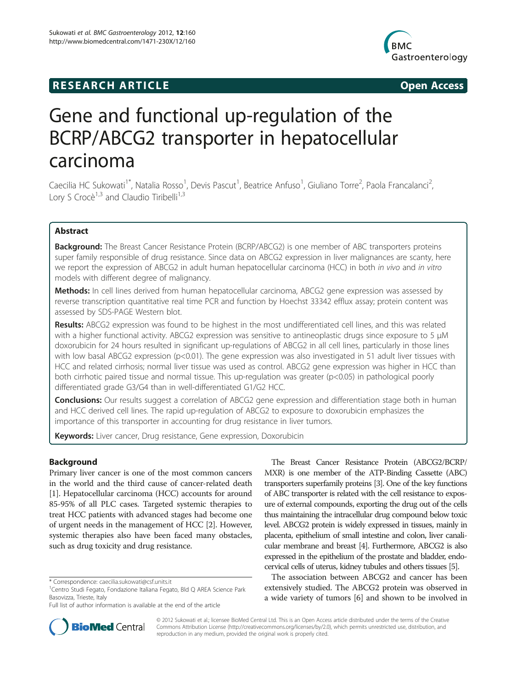## **RESEARCH ARTICLE Example 2014 The SEAR CH ACCESS**



# Gene and functional up-regulation of the BCRP/ABCG2 transporter in hepatocellular carcinoma

Caecilia HC Sukowati<sup>1\*</sup>, Natalia Rosso<sup>1</sup>, Devis Pascut<sup>1</sup>, Beatrice Anfuso<sup>1</sup>, Giuliano Torre<sup>2</sup>, Paola Francalanci<sup>2</sup> , Lory S Crocè<sup>1,3</sup> and Claudio Tiribelli<sup>1,3</sup>

## Abstract

Background: The Breast Cancer Resistance Protein (BCRP/ABCG2) is one member of ABC transporters proteins super family responsible of drug resistance. Since data on ABCG2 expression in liver malignances are scanty, here we report the expression of ABCG2 in adult human hepatocellular carcinoma (HCC) in both in vivo and in vitro models with different degree of malignancy.

Methods: In cell lines derived from human hepatocellular carcinoma, ABCG2 gene expression was assessed by reverse transcription quantitative real time PCR and function by Hoechst 33342 efflux assay; protein content was assessed by SDS-PAGE Western blot.

Results: ABCG2 expression was found to be highest in the most undifferentiated cell lines, and this was related with a higher functional activity. ABCG2 expression was sensitive to antineoplastic drugs since exposure to 5 μM doxorubicin for 24 hours resulted in significant up-regulations of ABCG2 in all cell lines, particularly in those lines with low basal ABCG2 expression (p<0.01). The gene expression was also investigated in 51 adult liver tissues with HCC and related cirrhosis; normal liver tissue was used as control. ABCG2 gene expression was higher in HCC than both cirrhotic paired tissue and normal tissue. This up-regulation was greater (p<0.05) in pathological poorly differentiated grade G3/G4 than in well-differentiated G1/G2 HCC.

**Conclusions:** Our results suggest a correlation of ABCG2 gene expression and differentiation stage both in human and HCC derived cell lines. The rapid up-regulation of ABCG2 to exposure to doxorubicin emphasizes the importance of this transporter in accounting for drug resistance in liver tumors.

Keywords: Liver cancer, Drug resistance, Gene expression, Doxorubicin

## Background

Primary liver cancer is one of the most common cancers in the world and the third cause of cancer-related death [[1\]](#page-6-0). Hepatocellular carcinoma (HCC) accounts for around 85-95% of all PLC cases. Targeted systemic therapies to treat HCC patients with advanced stages had become one of urgent needs in the management of HCC [\[2](#page-6-0)]. However, systemic therapies also have been faced many obstacles, such as drug toxicity and drug resistance.



The association between ABCG2 and cancer has been extensively studied. The ABCG2 protein was observed in a wide variety of tumors [[6\]](#page-6-0) and shown to be involved in



© 2012 Sukowati et al.; licensee BioMed Central Ltd. This is an Open Access article distributed under the terms of the Creative Commons Attribution License [\(http://creativecommons.org/licenses/by/2.0\)](http://creativecommons.org/licenses/by/2.0), which permits unrestricted use, distribution, and reproduction in any medium, provided the original work is properly cited.

<sup>\*</sup> Correspondence: [caecilia.sukowati@csf.units.it](mailto:caecilia.sukowati@csf.units.it) <sup>1</sup>

 $1$ Centro Studi Fegato, Fondazione Italiana Fegato, Bld Q AREA Science Park Basovizza, Trieste, Italy

Full list of author information is available at the end of the article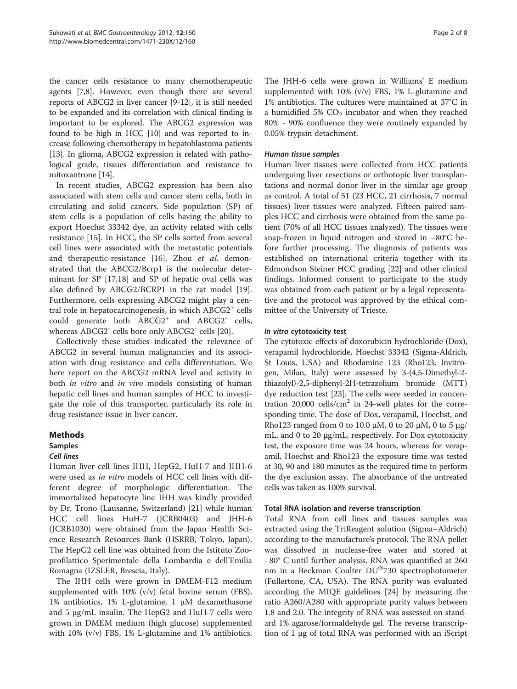the cancer cells resistance to many chemotherapeutic agents [[7,8](#page-6-0)]. However, even though there are several reports of ABCG2 in liver cancer [\[9](#page-6-0)-[12](#page-6-0)], it is still needed to be expanded and its correlation with clinical finding is important to be explored. The ABCG2 expression was found to be high in HCC [[10](#page-6-0)] and was reported to increase following chemotherapy in hepatoblastoma patients [[13](#page-6-0)]. In glioma, ABCG2 expression is related with pathological grade, tissues differentiation and resistance to mitoxantrone [[14](#page-6-0)].

In recent studies, ABCG2 expression has been also associated with stem cells and cancer stem cells, both in circulating and solid cancers. Side population (SP) of stem cells is a population of cells having the ability to export Hoechst 33342 dye, an activity related with cells resistance [\[15](#page-6-0)]. In HCC, the SP cells sorted from several cell lines were associated with the metastatic potentials and therapeutic-resistance [[16](#page-6-0)]. Zhou et al. demonstrated that the ABCG2/Bcrp1 is the molecular determinant for SP [[17,18\]](#page-6-0) and SP of hepatic oval cells was also defined by ABCG2/BCRP1 in the rat model [\[19](#page-7-0)]. Furthermore, cells expressing ABCG2 might play a central role in hepatocarcinogenesis, in which ABCG2<sup>+</sup> cells could generate both ABCG2<sup>+</sup> and ABCG2<sup>-</sup> cells, whereas ABCG2<sup>-</sup> cells bore only ABCG2<sup>-</sup> cells [[20](#page-7-0)].

Collectively these studies indicated the relevance of ABCG2 in several human malignancies and its association with drug resistance and cells differentiation. We here report on the ABCG2 mRNA level and activity in both *in vitro* and *in vivo* models consisting of human hepatic cell lines and human samples of HCC to investigate the role of this transporter, particularly its role in drug resistance issue in liver cancer.

## Methods

## Samples

## Cell lines

Human liver cell lines IHH, HepG2, HuH-7 and JHH-6 were used as in vitro models of HCC cell lines with different degree of morphologic differentiation. The immortalized hepatocyte line IHH was kindly provided by Dr. Trono (Lausanne, Switzerland) [\[21](#page-7-0)] while human HCC cell lines HuH-7 (JCRB0403) and JHH-6 (JCRB1030) were obtained from the Japan Health Science Research Resources Bank (HSRRB, Tokyo, Japan). The HepG2 cell line was obtained from the Istituto Zooprofilattico Sperimentale della Lombardia e dell'Emilia Romagna (IZSLER, Brescia, Italy).

The IHH cells were grown in DMEM-F12 medium supplemented with  $10\%$  (v/v) fetal bovine serum (FBS), 1% antibiotics, 1% L-glutamine, 1 μM dexamethasone and 5 μg/mL insulin. The HepG2 and HuH-7 cells were grown in DMEM medium (high glucose) supplemented with 10% (v/v) FBS, 1% L-glutamine and 1% antibiotics.

The JHH-6 cells were grown in Williams' E medium supplemented with 10% (v/v) FBS, 1% L-glutamine and 1% antibiotics. The cultures were maintained at 37°C in a humidified 5%  $CO<sub>2</sub>$  incubator and when they reached 80% - 90% confluence they were routinely expanded by 0.05% trypsin detachment.

#### Human tissue samples

Human liver tissues were collected from HCC patients undergoing liver resections or orthotopic liver transplantations and normal donor liver in the similar age group as control. A total of 51 (23 HCC, 21 cirrhosis, 7 normal tissues) liver tissues were analyzed. Fifteen paired samples HCC and cirrhosis were obtained from the same patient (70% of all HCC tissues analyzed). The tissues were snap-frozen in liquid nitrogen and stored in −80°C before further processing. The diagnosis of patients was established on international criteria together with its Edmondson Steiner HCC grading [\[22\]](#page-7-0) and other clinical findings. Informed consent to participate to the study was obtained from each patient or by a legal representative and the protocol was approved by the ethical committee of the University of Trieste.

## In vitro cytotoxicity test

The cytotoxic effects of doxorubicin hydrochloride (Dox), verapamil hydrochloride, Hoechst 33342 (Sigma-Aldrich, St Louis, USA) and Rhodamine 123 (Rho123; Invitrogen, Milan, Italy) were assessed by 3-(4,5-Dimethyl-2 thiazolyl)-2,5-diphenyl-2H-tetrazolium bromide (MTT) dye reduction test [\[23\]](#page-7-0). The cells were seeded in concentration 20,000 cells/ $\text{cm}^2$  in 24-well plates for the corresponding time. The dose of Dox, verapamil, Hoechst, and Rho123 ranged from 0 to 10.0  $\mu$ M, 0 to 20  $\mu$ M, 0 to 5  $\mu$ g/ mL, and 0 to 20 μg/mL, respectively. For Dox cytotoxicity test, the exposure time was 24 hours, whereas for verapamil, Hoechst and Rho123 the exposure time was tested at 30, 90 and 180 minutes as the required time to perform the dye exclusion assay. The absorbance of the untreated cells was taken as 100% survival.

#### Total RNA isolation and reverse transcription

Total RNA from cell lines and tissues samples was extracted using the TriReagent solution (Sigma–Aldrich) according to the manufacture's protocol. The RNA pellet was dissolved in nuclease-free water and stored at −80° C until further analysis. RNA was quantified at 260 nm in a Beckman Coulter DU®730 spectrophotometer (Fullertone, CA, USA). The RNA purity was evaluated according the MIQE guidelines [\[24](#page-7-0)] by measuring the ratio A260/A280 with appropriate purity values between 1.8 and 2.0. The integrity of RNA was assessed on standard 1% agarose/formaldehyde gel. The reverse transcription of 1 μg of total RNA was performed with an iScript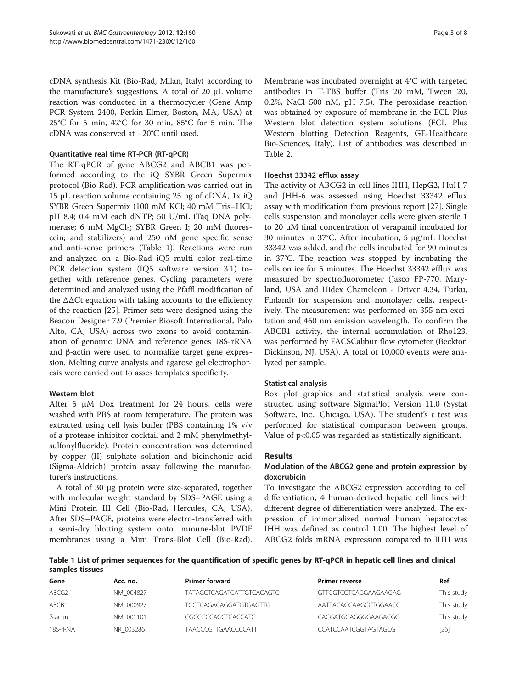cDNA synthesis Kit (Bio-Rad, Milan, Italy) according to the manufacture's suggestions. A total of 20 μL volume reaction was conducted in a thermocycler (Gene Amp PCR System 2400, Perkin-Elmer, Boston, MA, USA) at 25°C for 5 min, 42°C for 30 min, 85°C for 5 min. The cDNA was conserved at −20°C until used.

## Quantitative real time RT-PCR (RT-qPCR)

The RT-qPCR of gene ABCG2 and ABCB1 was performed according to the iQ SYBR Green Supermix protocol (Bio-Rad). PCR amplification was carried out in 15 μL reaction volume containing 25 ng of cDNA, 1x iQ SYBR Green Supermix (100 mM KCl; 40 mM Tris–HCl; pH 8.4; 0.4 mM each dNTP; 50 U/mL iTaq DNA polymerase; 6 mM  $MgCl<sub>2</sub>$ ; SYBR Green I; 20 mM fluorescein; and stabilizers) and 250 nM gene specific sense and anti-sense primers (Table 1). Reactions were run and analyzed on a Bio-Rad iQ5 multi color real-time PCR detection system (IQ5 software version 3.1) together with reference genes. Cycling parameters were determined and analyzed using the Pfaffl modification of the  $\Delta\Delta$ Ct equation with taking accounts to the efficiency of the reaction [\[25](#page-7-0)]. Primer sets were designed using the Beacon Designer 7.9 (Premier Biosoft International, Palo Alto, CA, USA) across two exons to avoid contamination of genomic DNA and reference genes 18S-rRNA and β-actin were used to normalize target gene expression. Melting curve analysis and agarose gel electrophoresis were carried out to asses templates specificity.

## Western blot

After 5 μM Dox treatment for 24 hours, cells were washed with PBS at room temperature. The protein was extracted using cell lysis buffer (PBS containing 1% v/v of a protease inhibitor cocktail and 2 mM phenylmethylsulfonylfluoride). Protein concentration was determined by copper (II) sulphate solution and bicinchonic acid (Sigma-Aldrich) protein assay following the manufacturer's instructions.

A total of 30 μg protein were size-separated, together with molecular weight standard by SDS–PAGE using a Mini Protein III Cell (Bio-Rad, Hercules, CA, USA). After SDS–PAGE, proteins were electro-transferred with a semi-dry blotting system onto immune-blot PVDF membranes using a Mini Trans-Blot Cell (Bio-Rad). Membrane was incubated overnight at 4°C with targeted antibodies in T-TBS buffer (Tris 20 mM, Tween 20, 0.2%, NaCl 500 nM, pH 7.5). The peroxidase reaction was obtained by exposure of membrane in the ECL-Plus Western blot detection system solutions (ECL Plus Western blotting Detection Reagents, GE-Healthcare Bio-Sciences, Italy). List of antibodies was described in Table [2.](#page-3-0)

## Hoechst 33342 efflux assay

The activity of ABCG2 in cell lines IHH, HepG2, HuH-7 and JHH-6 was assessed using Hoechst 33342 efflux assay with modification from previous report [[27\]](#page-7-0). Single cells suspension and monolayer cells were given sterile 1 to 20 μM final concentration of verapamil incubated for 30 minutes in 37°C. After incubation, 5 μg/mL Hoechst 33342 was added, and the cells incubated for 90 minutes in 37°C. The reaction was stopped by incubating the cells on ice for 5 minutes. The Hoechst 33342 efflux was measured by spectrofluorometer (Jasco FP-770, Maryland, USA and Hidex Chameleon - Driver 4.34, Turku, Finland) for suspension and monolayer cells, respectively. The measurement was performed on 355 nm excitation and 460 nm emission wavelength. To confirm the ABCB1 activity, the internal accumulation of Rho123, was performed by FACSCalibur flow cytometer (Beckton Dickinson, NJ, USA). A total of 10,000 events were analyzed per sample.

## Statistical analysis

Box plot graphics and statistical analysis were constructed using software SigmaPlot Version 11.0 (Systat Software, Inc., Chicago, USA). The student's  $t$  test was performed for statistical comparison between groups. Value of p<0.05 was regarded as statistically significant.

## Results

## Modulation of the ABCG2 gene and protein expression by doxorubicin

To investigate the ABCG2 expression according to cell differentiation, 4 human-derived hepatic cell lines with different degree of differentiation were analyzed. The expression of immortalized normal human hepatocytes IHH was defined as control 1.00. The highest level of ABCG2 folds mRNA expression compared to IHH was

Table 1 List of primer sequences for the quantification of specific genes by RT-qPCR in hepatic cell lines and clinical samples tissues

| Gene     | Acc. no.  | <b>Primer forward</b>            | <b>Primer reverse</b>       | Ref.       |
|----------|-----------|----------------------------------|-----------------------------|------------|
| ABCG2    | NM 004827 | <b>TATAGCTCAGATCATTGTCACAGTC</b> | GTTGGTCGTCAGGAAGAAGAG       | This study |
| ABCB1    | NM 000927 | <b>TGCTCAGACAGGATGTGAGTTG</b>    | AATTACAGCAAGCCTGGAACC       | This study |
| β-actin  | NM 001101 | <b>CGCCGCCAGCTCACCATG</b>        | CACGATGGAGGGGAAGACGG        | This study |
| 18S-rRNA | NR 003286 | <b>TAACCCGTTGAACCCCATT</b>       | <b>CCATCCAATCGGTAGTAGCG</b> | [26]       |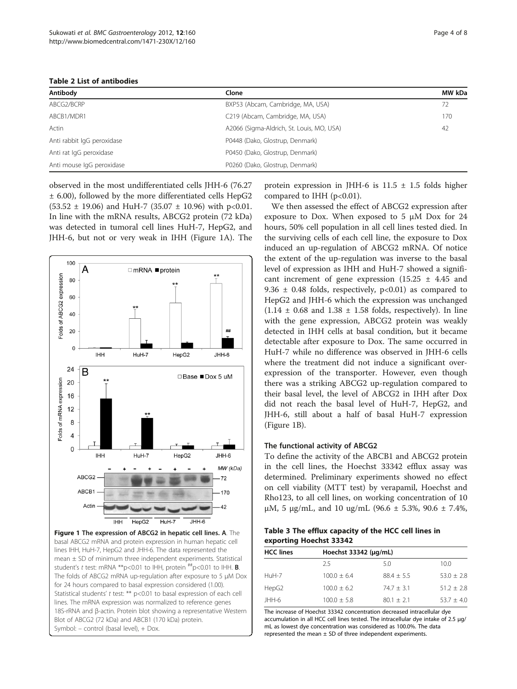<span id="page-3-0"></span>Table 2 List of antibodies

| Antibody                   | Clone                                     | MW kDa |  |
|----------------------------|-------------------------------------------|--------|--|
| ABCG2/BCRP                 | BXP53 (Abcam, Cambridge, MA, USA)         | 72     |  |
| ABCB1/MDR1                 | C219 (Abcam, Cambridge, MA, USA)          | 170    |  |
| Actin                      | A2066 (Sigma-Aldrich, St. Louis, MO, USA) | 42     |  |
| Anti rabbit IgG peroxidase | P0448 (Dako, Glostrup, Denmark)           |        |  |
| Anti rat IgG peroxidase    | P0450 (Dako, Glostrup, Denmark)           |        |  |
| Anti mouse IgG peroxidase  | P0260 (Dako, Glostrup, Denmark)           |        |  |

observed in the most undifferentiated cells JHH-6 (76.27 ± 6.00), followed by the more differentiated cells HepG2  $(53.52 \pm 19.06)$  and HuH-7  $(35.07 \pm 10.96)$  with p<0.01. In line with the mRNA results, ABCG2 protein (72 kDa) was detected in tumoral cell lines HuH-7, HepG2, and JHH-6, but not or very weak in IHH (Figure 1A). The



Figure 1 The expression of ABCG2 in hepatic cell lines. A. The basal ABCG2 mRNA and protein expression in human hepatic cell lines IHH, HuH-7, HepG2 and JHH-6. The data represented the mean  $\pm$  SD of minimum three independent experiments. Statistical student's t test: mRNA \*\* p<0.01 to IHH, protein  $^{**}$  p<0.01 to IHH. **B**. The folds of ABCG2 mRNA up-regulation after exposure to 5 μM Dox for 24 hours compared to basal expression considered (1.00). Statistical students' t test: \*\* p<0.01 to basal expression of each cell lines. The mRNA expression was normalized to reference genes 18S-rRNA and β-actin. Protein blot showing a representative Western Blot of ABCG2 (72 kDa) and ABCB1 (170 kDa) protein. Symbol: – control (basal level), + Dox.

protein expression in JHH-6 is  $11.5 \pm 1.5$  folds higher compared to IHH  $(p<0.01)$ .

We then assessed the effect of ABCG2 expression after exposure to Dox. When exposed to 5 μM Dox for 24 hours, 50% cell population in all cell lines tested died. In the surviving cells of each cell line, the exposure to Dox induced an up-regulation of ABCG2 mRNA. Of notice the extent of the up-regulation was inverse to the basal level of expression as IHH and HuH-7 showed a significant increment of gene expression  $(15.25 \pm 4.45)$  and 9.36  $\pm$  0.48 folds, respectively, p<0.01) as compared to HepG2 and JHH-6 which the expression was unchanged  $(1.14 \pm 0.68$  and  $1.38 \pm 1.58$  folds, respectively). In line with the gene expression, ABCG2 protein was weakly detected in IHH cells at basal condition, but it became detectable after exposure to Dox. The same occurred in HuH-7 while no difference was observed in JHH-6 cells where the treatment did not induce a significant overexpression of the transporter. However, even though there was a striking ABCG2 up-regulation compared to their basal level, the level of ABCG2 in IHH after Dox did not reach the basal level of HuH-7, HepG2, and JHH-6, still about a half of basal HuH-7 expression (Figure 1B).

## The functional activity of ABCG2

To define the activity of the ABCB1 and ABCG2 protein in the cell lines, the Hoechst 33342 efflux assay was determined. Preliminary experiments showed no effect on cell viability (MTT test) by verapamil, Hoechst and Rho123, to all cell lines, on working concentration of 10 μM, 5 μg/mL, and 10 ug/mL (96.6  $\pm$  5.3%, 90.6  $\pm$  7.4%,

Table 3 The efflux capacity of the HCC cell lines in exporting Hoechst 33342

| <b>HCC</b> lines | Hoechst 33342 (µg/mL) |              |              |  |
|------------------|-----------------------|--------------|--------------|--|
|                  | 25                    | 5.0          | 10.0         |  |
| HuH-7            | $100.0 + 6.4$         | $88.4 + 5.5$ | $53.0 + 2.8$ |  |
| HepG2            | $100.0 + 6.2$         | $74.7 + 3.1$ | $51.2 + 2.8$ |  |
| JHH-6            | $100.0 + 5.8$         | $80.1 + 2.1$ | $53.7 + 4.0$ |  |

The increase of Hoechst 33342 concentration decreased intracellular dye accumulation in all HCC cell lines tested. The intracellular dye intake of 2.5 μg/ mL as lowest dye concentration was considered as 100.0%. The data represented the mean  $\pm$  SD of three independent experiments.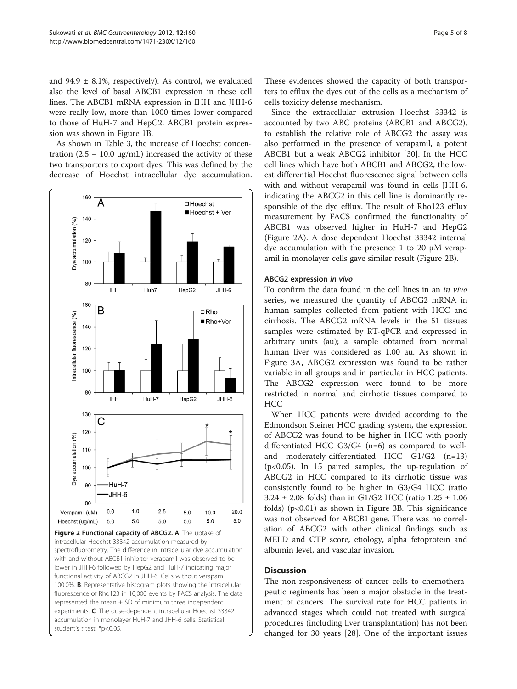and  $94.9 \pm 8.1\%$ , respectively). As control, we evaluated also the level of basal ABCB1 expression in these cell lines. The ABCB1 mRNA expression in IHH and JHH-6 were really low, more than 1000 times lower compared to those of HuH-7 and HepG2. ABCB1 protein expression was shown in Figure [1B](#page-3-0).

As shown in Table [3,](#page-3-0) the increase of Hoechst concentration  $(2.5 – 10.0 μg/mL)$  increased the activity of these two transporters to export dyes. This was defined by the decrease of Hoechst intracellular dye accumulation.



lower in JHH-6 followed by HepG2 and HuH-7 indicating major functional activity of ABCG2 in JHH-6. Cells without verapamil = 100.0%. B. Representative histogram plots showing the intracellular fluorescence of Rho123 in 10,000 events by FACS analysis. The data represented the mean  $\pm$  SD of minimum three independent experiments. C. The dose-dependent intracellular Hoechst 33342 accumulation in monolayer HuH-7 and JHH-6 cells. Statistical student's t test: \*p<0.05.

These evidences showed the capacity of both transporters to efflux the dyes out of the cells as a mechanism of cells toxicity defense mechanism.

Since the extracellular extrusion Hoechst 33342 is accounted by two ABC proteins (ABCB1 and ABCG2), to establish the relative role of ABCG2 the assay was also performed in the presence of verapamil, a potent ABCB1 but a weak ABCG2 inhibitor [[30\]](#page-7-0). In the HCC cell lines which have both ABCB1 and ABCG2, the lowest differential Hoechst fluorescence signal between cells with and without verapamil was found in cells JHH-6, indicating the ABCG2 in this cell line is dominantly responsible of the dye efflux. The result of Rho123 efflux measurement by FACS confirmed the functionality of ABCB1 was observed higher in HuH-7 and HepG2 (Figure 2A). A dose dependent Hoechst 33342 internal dye accumulation with the presence 1 to 20 μM verapamil in monolayer cells gave similar result (Figure 2B).

## ABCG2 expression in vivo

To confirm the data found in the cell lines in an in vivo series, we measured the quantity of ABCG2 mRNA in human samples collected from patient with HCC and cirrhosis. The ABCG2 mRNA levels in the 51 tissues samples were estimated by RT-qPCR and expressed in arbitrary units (au); a sample obtained from normal human liver was considered as 1.00 au. As shown in Figure [3A](#page-5-0), ABCG2 expression was found to be rather variable in all groups and in particular in HCC patients. The ABCG2 expression were found to be more restricted in normal and cirrhotic tissues compared to HCC

When HCC patients were divided according to the Edmondson Steiner HCC grading system, the expression of ABCG2 was found to be higher in HCC with poorly differentiated HCC G3/G4 (n=6) as compared to welland moderately-differentiated HCC G1/G2 (n=13) (p<0.05). In 15 paired samples, the up-regulation of ABCG2 in HCC compared to its cirrhotic tissue was consistently found to be higher in G3/G4 HCC (ratio 3.24 ± 2.08 folds) than in G1/G2 HCC (ratio 1.25 ± 1.06 folds)  $(p<0.01)$  as shown in Figure [3B](#page-5-0). This significance was not observed for ABCB1 gene. There was no correlation of ABCG2 with other clinical findings such as MELD and CTP score, etiology, alpha fetoprotein and albumin level, and vascular invasion.

## **Discussion**

The non-responsiveness of cancer cells to chemotherapeutic regiments has been a major obstacle in the treatment of cancers. The survival rate for HCC patients in advanced stages which could not treated with surgical procedures (including liver transplantation) has not been changed for 30 years [\[28\]](#page-7-0). One of the important issues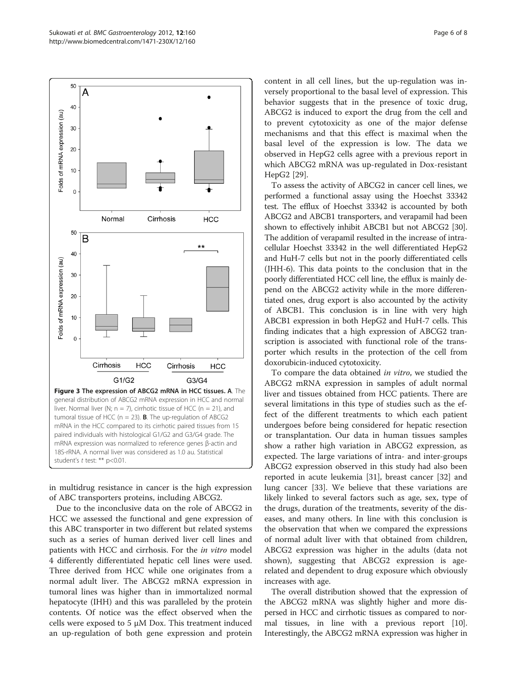<span id="page-5-0"></span>

in multidrug resistance in cancer is the high expression of ABC transporters proteins, including ABCG2.

Due to the inconclusive data on the role of ABCG2 in HCC we assessed the functional and gene expression of this ABC transporter in two different but related systems such as a series of human derived liver cell lines and patients with HCC and cirrhosis. For the *in vitro* model 4 differently differentiated hepatic cell lines were used. Three derived from HCC while one originates from a normal adult liver. The ABCG2 mRNA expression in tumoral lines was higher than in immortalized normal hepatocyte (IHH) and this was paralleled by the protein contents. Of notice was the effect observed when the cells were exposed to 5  $\mu$ M Dox. This treatment induced an up-regulation of both gene expression and protein content in all cell lines, but the up-regulation was inversely proportional to the basal level of expression. This behavior suggests that in the presence of toxic drug, ABCG2 is induced to export the drug from the cell and to prevent cytotoxicity as one of the major defense mechanisms and that this effect is maximal when the basal level of the expression is low. The data we observed in HepG2 cells agree with a previous report in which ABCG2 mRNA was up-regulated in Dox-resistant HepG2 [\[29](#page-7-0)].

To assess the activity of ABCG2 in cancer cell lines, we performed a functional assay using the Hoechst 33342 test. The efflux of Hoechst 33342 is accounted by both ABCG2 and ABCB1 transporters, and verapamil had been shown to effectively inhibit ABCB1 but not ABCG2 [[30](#page-7-0)]. The addition of verapamil resulted in the increase of intracellular Hoechst 33342 in the well differentiated HepG2 and HuH-7 cells but not in the poorly differentiated cells (JHH-6). This data points to the conclusion that in the poorly differentiated HCC cell line, the efflux is mainly depend on the ABCG2 activity while in the more differentiated ones, drug export is also accounted by the activity of ABCB1. This conclusion is in line with very high ABCB1 expression in both HepG2 and HuH-7 cells. This finding indicates that a high expression of ABCG2 transcription is associated with functional role of the transporter which results in the protection of the cell from doxorubicin-induced cytotoxicity.

To compare the data obtained in vitro, we studied the ABCG2 mRNA expression in samples of adult normal liver and tissues obtained from HCC patients. There are several limitations in this type of studies such as the effect of the different treatments to which each patient undergoes before being considered for hepatic resection or transplantation. Our data in human tissues samples show a rather high variation in ABCG2 expression, as expected. The large variations of intra- and inter-groups ABCG2 expression observed in this study had also been reported in acute leukemia [\[31\]](#page-7-0), breast cancer [[32](#page-7-0)] and lung cancer [\[33](#page-7-0)]. We believe that these variations are likely linked to several factors such as age, sex, type of the drugs, duration of the treatments, severity of the diseases, and many others. In line with this conclusion is the observation that when we compared the expressions of normal adult liver with that obtained from children, ABCG2 expression was higher in the adults (data not shown), suggesting that ABCG2 expression is agerelated and dependent to drug exposure which obviously increases with age.

The overall distribution showed that the expression of the ABCG2 mRNA was slightly higher and more dispersed in HCC and cirrhotic tissues as compared to normal tissues, in line with a previous report [[10](#page-6-0)]. Interestingly, the ABCG2 mRNA expression was higher in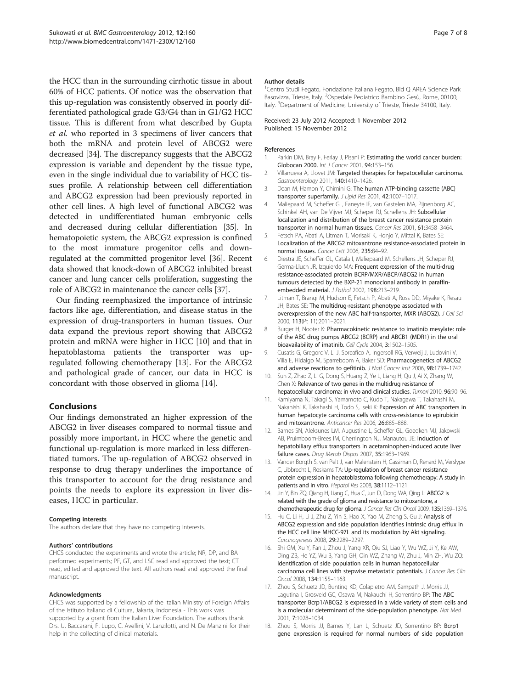<span id="page-6-0"></span>the HCC than in the surrounding cirrhotic tissue in about 60% of HCC patients. Of notice was the observation that this up-regulation was consistently observed in poorly differentiated pathological grade G3/G4 than in G1/G2 HCC tissue. This is different from what described by Gupta et al. who reported in 3 specimens of liver cancers that both the mRNA and protein level of ABCG2 were decreased [\[34\]](#page-7-0). The discrepancy suggests that the ABCG2 expression is variable and dependent by the tissue type, even in the single individual due to variability of HCC tissues profile. A relationship between cell differentiation and ABCG2 expression had been previously reported in other cell lines. A high level of functional ABCG2 was detected in undifferentiated human embryonic cells and decreased during cellular differentiation [\[35\]](#page-7-0). In hematopoietic system, the ABCG2 expression is confined to the most immature progenitor cells and downregulated at the committed progenitor level [\[36\]](#page-7-0). Recent data showed that knock-down of ABCG2 inhibited breast cancer and lung cancer cells proliferation, suggesting the role of ABCG2 in maintenance the cancer cells [\[37\]](#page-7-0).

Our finding reemphasized the importance of intrinsic factors like age, differentiation, and disease status in the expression of drug-transporters in human tissues. Our data expand the previous report showing that ABCG2 protein and mRNA were higher in HCC [10] and that in hepatoblastoma patients the transporter was upregulated following chemotherapy [13]. For the ABCG2 and pathological grade of cancer, our data in HCC is concordant with those observed in glioma [14].

#### Conclusions

Our findings demonstrated an higher expression of the ABCG2 in liver diseases compared to normal tissue and possibly more important, in HCC where the genetic and functional up-regulation is more marked in less differentiated tumors. The up-regulation of ABCG2 observed in response to drug therapy underlines the importance of this transporter to account for the drug resistance and points the needs to explore its expression in liver diseases, HCC in particular.

#### Competing interests

The authors declare that they have no competing interests.

#### Authors' contributions

CHCS conducted the experiments and wrote the article; NR, DP, and BA performed experiments; PF, GT, and LSC read and approved the text; CT read, edited and approved the text. All authors read and approved the final manuscript.

#### Acknowledgments

CHCS was supported by a fellowship of the Italian Ministry of Foreign Affairs of the Istituto Italiano di Cultura, Jakarta, Indonesia - This work was supported by a grant from the Italian Liver Foundation. The authors thank Drs. U. Baccarani, P. Lupo, C. Avellini, V. Lanzilotti, and N. De Manzini for their help in the collecting of clinical materials.

#### Author details

<sup>1</sup> Centro Studi Fegato, Fondazione Italiana Fegato, Bld Q AREA Science Park Basovizza, Trieste, Italy. <sup>2</sup>Ospedale Pediatrico Bambino Gesù, Rome, 00100, Italy. <sup>3</sup>Department of Medicine, University of Trieste, Trieste 34100, Italy.

#### Received: 23 July 2012 Accepted: 1 November 2012 Published: 15 November 2012

#### References

- 1. Parkin DM, Bray F, Ferlay J, Pisani P: Estimating the world cancer burden: Globocan 2000. Int J Cancer 2001, 94:153–156.
- 2. Villanueva A, Llovet JM: Targeted therapies for hepatocellular carcinoma. Gastroenterology 2011, 140:1410–1426.
- 3. Dean M, Hamon Y, Chimini G: The human ATP-binding cassette (ABC) transporter superfamily. J Lipid Res 2001, 42:1007–1017.
- 4. Maliepaard M, Scheffer GL, Faneyte IF, van Gastelen MA, Pijnenborg AC, Schinkel AH, van De Vijver MJ, Scheper RJ, Schellens JH: Subcellular localization and distribution of the breast cancer resistance protein transporter in normal human tissues. Cancer Res 2001, 61:3458–3464.
- 5. Fetsch PA, Abati A, Litman T, Morisaki K, Honjo Y, Mittal K, Bates SE: Localization of the ABCG2 mitoxantrone resistance-associated protein in normal tissues. Cancer Lett 2006, 235:84-92.
- 6. Diestra JE, Scheffer GL, Catala I, Maliepaard M, Schellens JH, Scheper RJ, Germa-Lluch JR, Izquierdo MA: Frequent expression of the multi-drug resistance-associated protein BCRP/MXR/ABCP/ABCG2 in human tumours detected by the BXP-21 monoclonal antibody in paraffinembedded material. J Pathol 2002, 198:213–219.
- Litman T, Brangi M, Hudson E, Fetsch P, Abati A, Ross DD, Miyake K, Resau JH, Bates SE: The multidrug-resistant phenotype associated with overexpression of the new ABC half-transporter, MXR (ABCG2). J Cell Sci 2000, 113(Pt 11):2011–2021.
- 8. Burger H, Nooter K: Pharmacokinetic resistance to imatinib mesylate: role of the ABC drug pumps ABCG2 (BCRP) and ABCB1 (MDR1) in the oral bioavailability of imatinib. Cell Cycle 2004, 3:1502-1505.
- Cusatis G, Gregorc V, Li J, Spreafico A, Ingersoll RG, Verweij J, Ludovini V, Villa E, Hidalgo M, Sparreboom A, Baker SD: Pharmacogenetics of ABCG2 and adverse reactions to gefitinib. J Natl Cancer Inst 2006, 98:1739–1742.
- 10. Sun Z, Zhao Z, Li G, Dong S, Huang Z, Ye L, Liang H, Qu J, Ai X, Zhang W, Chen X: Relevance of two genes in the multidrug resistance of hepatocellular carcinoma: in vivo and clinical studies. Tumori 2010, 96:90–96.
- 11. Kamiyama N, Takagi S, Yamamoto C, Kudo T, Nakagawa T, Takahashi M, Nakanishi K, Takahashi H, Todo S, Iseki K: Expression of ABC transporters in human hepatocyte carcinoma cells with cross-resistance to epirubicin and mitoxantrone. Anticancer Res 2006, 26:885–888.
- 12. Barnes SN, Aleksunes LM, Augustine L, Scheffer GL, Goedken MJ, Jakowski AB, Pruimboom-Brees IM, Cherrington NJ, Manautou JE: Induction of hepatobiliary efflux transporters in acetaminophen-induced acute liver failure cases. Drug Metab Dispos 2007, 35:1963-1969.
- 13. Vander Borgth S, van Pelt J, van Malenstein H, Cassiman D, Renard M, Verslype C, Libbrecht L, Roskams TA: Up-regulation of breast cancer resistance protein expression in hepatoblastoma following chemotherapy: A study in patients and in vitro. Hepatol Res 2008, 38:1112–1121.
- 14. Jin Y, Bin ZQ, Qiang H, Liang C, Hua C, Jun D, Dong WA, Qing L: ABCG2 is related with the grade of glioma and resistance to mitoxantone, a chemotherapeutic drug for glioma. J Cancer Res Clin Oncol 2009, 135:1369–1376.
- 15. Hu C, Li H, Li J, Zhu Z, Yin S, Hao X, Yao M, Zheng S, Gu J: Analysis of ABCG2 expression and side population identifies intrinsic drug efflux in the HCC cell line MHCC-97L and its modulation by Akt signaling. Carcinogenesis 2008, 29:2289–2297.
- 16. Shi GM, Xu Y, Fan J, Zhou J, Yang XR, Qiu SJ, Liao Y, Wu WZ, Ji Y, Ke AW, Ding ZB, He YZ, Wu B, Yang GH, Qin WZ, Zhang W, Zhu J, Min ZH, Wu ZQ: Identification of side population cells in human hepatocellular carcinoma cell lines with stepwise metastatic potentials. J Cancer Res Clin Oncol 2008, 134:1155–1163.
- 17. Zhou S, Schuetz JD, Bunting KD, Colapietro AM, Sampath J, Morris JJ, Lagutina I, Grosveld GC, Osawa M, Nakauchi H, Sorrentino BP: The ABC transporter Bcrp1/ABCG2 is expressed in a wide variety of stem cells and is a molecular determinant of the side-population phenotype. Nat Med 2001, 7:1028–1034.
- 18. Zhou S, Morris JJ, Barnes Y, Lan L, Schuetz JD, Sorrentino BP: Bcrp1 gene expression is required for normal numbers of side population